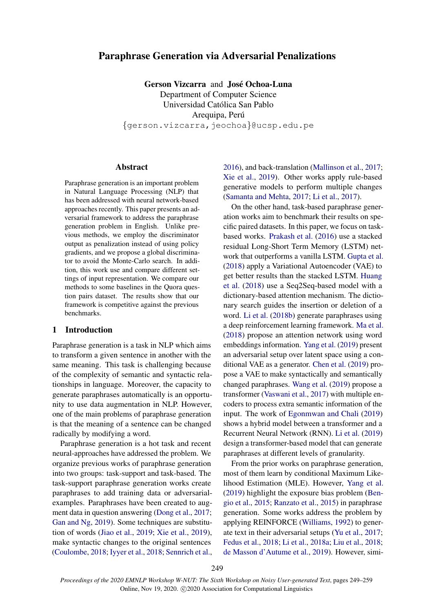# Paraphrase Generation via Adversarial Penalizations

Gerson Vizcarra and Jose Ochoa-Luna ´ Department of Computer Science Universidad Catolica San Pablo ´ Arequipa, Perú {gerson.vizcarra,jeochoa}@ucsp.edu.pe

### Abstract

Paraphrase generation is an important problem in Natural Language Processing (NLP) that has been addressed with neural network-based approaches recently. This paper presents an adversarial framework to address the paraphrase generation problem in English. Unlike previous methods, we employ the discriminator output as penalization instead of using policy gradients, and we propose a global discriminator to avoid the Monte-Carlo search. In addition, this work use and compare different settings of input representation. We compare our methods to some baselines in the Quora question pairs dataset. The results show that our framework is competitive against the previous benchmarks.

### 1 Introduction

Paraphrase generation is a task in NLP which aims to transform a given sentence in another with the same meaning. This task is challenging because of the complexity of semantic and syntactic relationships in language. Moreover, the capacity to generate paraphrases automatically is an opportunity to use data augmentation in NLP. However, one of the main problems of paraphrase generation is that the meaning of a sentence can be changed radically by modifying a word.

Paraphrase generation is a hot task and recent neural-approaches have addressed the problem. We organize previous works of paraphrase generation into two groups: task-support and task-based. The task-support paraphrase generation works create paraphrases to add training data or adversarialexamples. Paraphrases have been created to augment data in question answering [\(Dong et al.,](#page-8-0) [2017;](#page-8-0) [Gan and Ng,](#page-8-1) [2019\)](#page-8-1). Some techniques are substitution of words [\(Jiao et al.,](#page-9-0) [2019;](#page-9-0) [Xie et al.,](#page-10-0) [2019\)](#page-10-0), make syntactic changes to the original sentences [\(Coulombe,](#page-8-2) [2018;](#page-8-2) [Iyyer et al.,](#page-8-3) [2018;](#page-8-3) [Sennrich et al.,](#page-10-1) [2016\)](#page-10-1), and back-translation [\(Mallinson et al.,](#page-9-1) [2017;](#page-9-1) [Xie et al.,](#page-10-0) [2019\)](#page-10-0). Other works apply rule-based generative models to perform multiple changes [\(Samanta and Mehta,](#page-10-2) [2017;](#page-10-2) [Li et al.,](#page-9-2) [2017\)](#page-9-2).

On the other hand, task-based paraphrase generation works aim to benchmark their results on specific paired datasets. In this paper, we focus on taskbased works. [Prakash et al.](#page-10-3) [\(2016\)](#page-10-3) use a stacked residual Long-Short Term Memory (LSTM) network that outperforms a vanilla LSTM. [Gupta et al.](#page-8-4) [\(2018\)](#page-8-4) apply a Variational Autoencoder (VAE) to get better results than the stacked LSTM. [Huang](#page-8-5) [et al.](#page-8-5) [\(2018\)](#page-8-5) use a Seq2Seq-based model with a dictionary-based attention mechanism. The dictionary search guides the insertion or deletion of a word. [Li et al.](#page-9-3) [\(2018b\)](#page-9-3) generate paraphrases using a deep reinforcement learning framework. [Ma et al.](#page-9-4) [\(2018\)](#page-9-4) propose an attention network using word embeddings information. [Yang et al.](#page-10-4) [\(2019\)](#page-10-4) present an adversarial setup over latent space using a conditional VAE as a generator. [Chen et al.](#page-8-6) [\(2019\)](#page-8-6) propose a VAE to make syntactically and semantically changed paraphrases. [Wang et al.](#page-10-5) [\(2019\)](#page-10-5) propose a transformer [\(Vaswani et al.,](#page-10-6) [2017\)](#page-10-6) with multiple encoders to process extra semantic information of the input. The work of [Egonmwan and Chali](#page-8-7) [\(2019\)](#page-8-7) shows a hybrid model between a transformer and a Recurrent Neural Network (RNN). [Li et al.](#page-9-5) [\(2019\)](#page-9-5) design a transformer-based model that can generate paraphrases at different levels of granularity.

From the prior works on paraphrase generation, most of them learn by conditional Maximum Likelihood Estimation (MLE). However, [Yang et al.](#page-10-4) [\(2019\)](#page-10-4) highlight the exposure bias problem [\(Ben](#page-8-8)[gio et al.,](#page-8-8) [2015;](#page-8-8) [Ranzato et al.,](#page-10-7) [2015\)](#page-10-7) in paraphrase generation. Some works address the problem by applying REINFORCE [\(Williams,](#page-10-8) [1992\)](#page-10-8) to generate text in their adversarial setups [\(Yu et al.,](#page-10-9) [2017;](#page-10-9) [Fedus et al.,](#page-8-9) [2018;](#page-8-9) [Li et al.,](#page-9-6) [2018a;](#page-9-6) [Liu et al.,](#page-9-7) [2018;](#page-9-7) [de Masson d'Autume et al.,](#page-9-8) [2019\)](#page-9-8). However, simi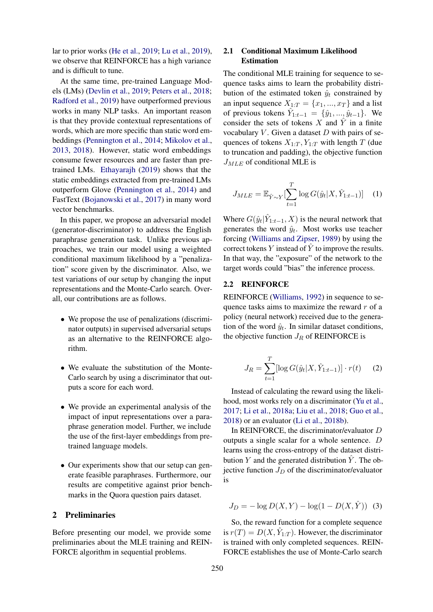lar to prior works [\(He et al.,](#page-8-10) [2019;](#page-8-10) [Lu et al.,](#page-9-9) [2019\)](#page-9-9), we observe that REINFORCE has a high variance and is difficult to tune.

At the same time, pre-trained Language Models (LMs) [\(Devlin et al.,](#page-8-11) [2019;](#page-8-11) [Peters et al.,](#page-9-10) [2018;](#page-9-10) [Radford et al.,](#page-10-10) [2019\)](#page-10-10) have outperformed previous works in many NLP tasks. An important reason is that they provide contextual representations of words, which are more specific than static word embeddings [\(Pennington et al.,](#page-9-11) [2014;](#page-9-11) [Mikolov et al.,](#page-9-12) [2013,](#page-9-12) [2018\)](#page-9-13). However, static word embeddings consume fewer resources and are faster than pretrained LMs. [Ethayarajh](#page-8-12) [\(2019\)](#page-8-12) shows that the static embeddings extracted from pre-trained LMs outperform Glove [\(Pennington et al.,](#page-9-11) [2014\)](#page-9-11) and FastText [\(Bojanowski et al.,](#page-8-13) [2017\)](#page-8-13) in many word vector benchmarks.

In this paper, we propose an adversarial model (generator-discriminator) to address the English paraphrase generation task. Unlike previous approaches, we train our model using a weighted conditional maximum likelihood by a "penalization" score given by the discriminator. Also, we test variations of our setup by changing the input representations and the Monte-Carlo search. Overall, our contributions are as follows.

- We propose the use of penalizations (discriminator outputs) in supervised adversarial setups as an alternative to the REINFORCE algorithm.
- We evaluate the substitution of the Monte-Carlo search by using a discriminator that outputs a score for each word.
- We provide an experimental analysis of the impact of input representations over a paraphrase generation model. Further, we include the use of the first-layer embeddings from pretrained language models.
- Our experiments show that our setup can generate feasible paraphrases. Furthermore, our results are competitive against prior benchmarks in the Quora question pairs dataset.

# 2 Preliminaries

Before presenting our model, we provide some preliminaries about the MLE training and REIN-FORCE algorithm in sequential problems.

# 2.1 Conditional Maximum Likelihood Estimation

The conditional MLE training for sequence to sequence tasks aims to learn the probability distribution of the estimated token  $\hat{y}_t$  constrained by an input sequence  $X_{1:T} = \{x_1, ..., x_T\}$  and a list of previous tokens  $\hat{Y}_{1:t-1} = \{\hat{y}_1, ..., \hat{y}_{t-1}\}.$  We consider the sets of tokens X and  $\hat{Y}$  in a finite vocabulary  $V$ . Given a dataset  $D$  with pairs of sequences of tokens  $X_{1:T}$ ,  $Y_{1:T}$  with length T (due to truncation and padding), the objective function  $J_{MLE}$  of conditional MLE is

$$
J_{MLE} = \mathbb{E}_{\hat{Y} \sim Y}[\sum_{t=1}^{T} \log G(\hat{y}_t | X, \hat{Y}_{1:t-1})]
$$
 (1)

Where  $G(\hat{y}_t | \hat{Y}_{1:t-1}, X)$  is the neural network that generates the word  $\hat{y}_t$ . Most works use teacher forcing [\(Williams and Zipser,](#page-10-11) [1989\)](#page-10-11) by using the correct tokens Y instead of  $\tilde{Y}$  to improve the results. In that way, the "exposure" of the network to the target words could "bias" the inference process.

## 2.2 REINFORCE

REINFORCE [\(Williams,](#page-10-8) [1992\)](#page-10-8) in sequence to sequence tasks aims to maximize the reward  $r$  of a policy (neural network) received due to the generation of the word  $\hat{y}_t$ . In similar dataset conditions, the objective function  $J_R$  of REINFORCE is

$$
J_R = \sum_{t=1}^{T} [\log G(\hat{y}_t | X, \hat{Y}_{1:t-1})] \cdot r(t) \quad (2)
$$

Instead of calculating the reward using the likelihood, most works rely on a discriminator [\(Yu et al.,](#page-10-9) [2017;](#page-10-9) [Li et al.,](#page-9-6) [2018a;](#page-9-6) [Liu et al.,](#page-9-7) [2018;](#page-9-7) [Guo et al.,](#page-8-14) [2018\)](#page-8-14) or an evaluator [\(Li et al.,](#page-9-3) [2018b\)](#page-9-3).

In REINFORCE, the discriminator/evaluator D outputs a single scalar for a whole sentence. D learns using the cross-entropy of the dataset distribution Y and the generated distribution  $\hat{Y}$ . The objective function  $J_D$  of the discriminator/evaluator is

 $J_D = -\log D(X, Y) - \log(1 - D(X, \hat{Y}))$  (3)

So, the reward function for a complete sequence is  $r(T) = D(X, \hat{Y}_{1:T})$ . However, the discriminator is trained with only completed sequences. REIN-FORCE establishes the use of Monte-Carlo search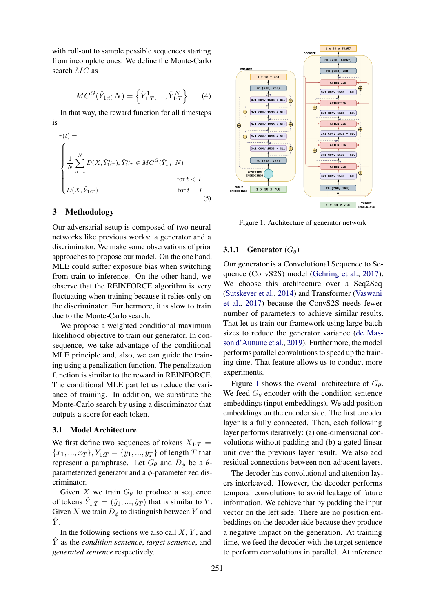with roll-out to sample possible sequences starting from incomplete ones. We define the Monte-Carlo search MC as

$$
MC^{G}(\hat{Y}_{1:t};N) = \left\{\hat{Y}_{1:T}^{1}, ..., \hat{Y}_{1:T}^{N}\right\}
$$
 (4)

In that way, the reward function for all timesteps is

$$
r(t) = \begin{cases} \n\frac{1}{N} \sum_{n=1}^{N} D(X, \hat{Y}_{1:T}^{n}), \hat{Y}_{1:T}^{n} \in MC^{G}(\hat{Y}_{1:t}; N) \\
\text{for } t < T \\
D(X, \hat{Y}_{1:T}) & \text{for } t = T \\
\end{cases} \tag{5}
$$

#### 3 Methodology

Our adversarial setup is composed of two neural networks like previous works: a generator and a discriminator. We make some observations of prior approaches to propose our model. On the one hand, MLE could suffer exposure bias when switching from train to inference. On the other hand, we observe that the REINFORCE algorithm is very fluctuating when training because it relies only on the discriminator. Furthermore, it is slow to train due to the Monte-Carlo search.

We propose a weighted conditional maximum likelihood objective to train our generator. In consequence, we take advantage of the conditional MLE principle and, also, we can guide the training using a penalization function. The penalization function is similar to the reward in REINFORCE. The conditional MLE part let us reduce the variance of training. In addition, we substitute the Monte-Carlo search by using a discriminator that outputs a score for each token.

#### 3.1 Model Architecture

We first define two sequences of tokens  $X_{1:T}$  =  ${x_1, ..., x_T}$ ,  $Y_{1:T} = {y_1, ..., y_T}$  of length T that represent a paraphrase. Let  $G_{\theta}$  and  $D_{\phi}$  be a  $\theta$ parameterized generator and a  $\phi$ -parameterized discriminator.

Given X we train  $G_{\theta}$  to produce a sequence of tokens  $\hat{Y}_{1:T} = (\hat{y}_1, ..., \hat{y}_T)$  that is similar to Y. Given X we train  $D_{\phi}$  to distinguish between Y and  $\hat{Y}$ .

In the following sections we also call  $X, Y$ , and  $\hat{Y}$  as the *condition sentence*, *target sentence*, and *generated sentence* respectively.

<span id="page-2-0"></span>

Figure 1: Architecture of generator network

# **3.1.1 Generator**  $(G_{\theta})$

Our generator is a Convolutional Sequence to Sequence (ConvS2S) model [\(Gehring et al.,](#page-8-15) [2017\)](#page-8-15). We choose this architecture over a Seq2Seq [\(Sutskever et al.,](#page-10-12) [2014\)](#page-10-12) and Transformer [\(Vaswani](#page-10-6) [et al.,](#page-10-6) [2017\)](#page-10-6) because the ConvS2S needs fewer number of parameters to achieve similar results. That let us train our framework using large batch sizes to reduce the generator variance [\(de Mas](#page-9-8)[son d'Autume et al.,](#page-9-8) [2019\)](#page-9-8). Furthermore, the model performs parallel convolutions to speed up the training time. That feature allows us to conduct more experiments.

Figure [1](#page-2-0) shows the overall architecture of  $G_{\theta}$ . We feed  $G_{\theta}$  encoder with the condition sentence embeddings (input embeddings). We add position embeddings on the encoder side. The first encoder layer is a fully connected. Then, each following layer performs iteratively: (a) one-dimensional convolutions without padding and (b) a gated linear unit over the previous layer result. We also add residual connections between non-adjacent layers.

The decoder has convolutional and attention layers interleaved. However, the decoder performs temporal convolutions to avoid leakage of future information. We achieve that by padding the input vector on the left side. There are no position embeddings on the decoder side because they produce a negative impact on the generation. At training time, we feed the decoder with the target sentence to perform convolutions in parallel. At inference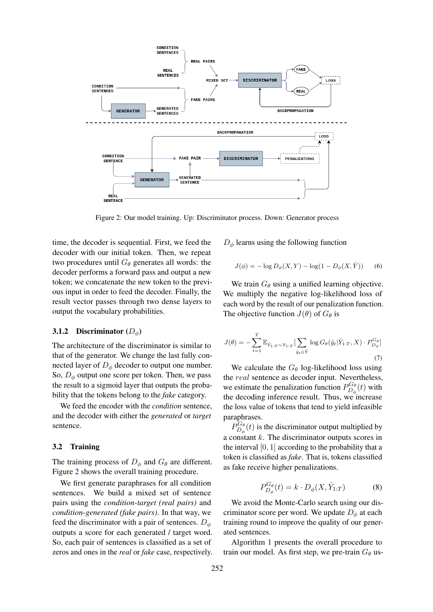<span id="page-3-0"></span>

Figure 2: Our model training. Up: Discriminator process. Down: Generator process

time, the decoder is sequential. First, we feed the decoder with our initial token. Then, we repeat two procedures until  $G_{\theta}$  generates all words: the decoder performs a forward pass and output a new token; we concatenate the new token to the previous input in order to feed the decoder. Finally, the result vector passes through two dense layers to output the vocabulary probabilities.

## 3.1.2 Discriminator  $(D_{\phi})$

The architecture of the discriminator is similar to that of the generator. We change the last fully connected layer of  $D_{\phi}$  decoder to output one number. So,  $D_{\phi}$  output one score per token. Then, we pass the result to a sigmoid layer that outputs the probability that the tokens belong to the *fake* category.

We feed the encoder with the *condition* sentence, and the decoder with either the *generated* or *target* sentence.

#### 3.2 Training

The training process of  $D_{\phi}$  and  $G_{\theta}$  are different. Figure [2](#page-3-0) shows the overall training procedure.

We first generate paraphrases for all condition sentences. We build a mixed set of sentence pairs using the *condition-target (real pairs)* and *condition-generated (fake pairs)*. In that way, we feed the discriminator with a pair of sentences.  $D_{\phi}$ outputs a score for each generated / target word. So, each pair of sentences is classified as a set of zeros and ones in the *real* or *fake* case, respectively.

<span id="page-3-2"></span> $D_{\phi}$  learns using the following function

$$
J(\phi) = -\log D_{\phi}(X, Y) - \log(1 - D_{\phi}(X, \hat{Y}))
$$
 (6)

We train  $G_{\theta}$  using a unified learning objective. We multiply the negative log-likelihood loss of each word by the result of our penalization function. The objective function  $J(\theta)$  of  $G_{\theta}$  is

<span id="page-3-1"></span>
$$
J(\theta) = -\sum_{t=1}^{T} \mathbb{E}_{\hat{Y}_{1:T} \sim Y_{1:T}} \left[ \sum_{\hat{y}_t \in \hat{Y}} \log G_{\theta}(\hat{y}_t | \hat{Y}_{1:T}, X) \cdot P_{D_{\phi}}^{G_{\theta}} \right]
$$
\n(7)

We calculate the  $G_{\theta}$  log-likelihood loss using the *real* sentence as decoder input. Nevertheless, we estimate the penalization function  $P_{D_4}^{G_6}$  $D_{\phi}^{\mathbf{G}\theta}(t)$  with the decoding inference result. Thus, we increase the loss value of tokens that tend to yield infeasible paraphrases.

 $P_D^{G_{\theta}}$  $D_{\phi}^{\mathbf{G}_{\theta}}(t)$  is the discriminator output multiplied by a constant  $k$ . The discriminator outputs scores in the interval  $[0, 1]$  according to the probability that a token is classified as *fake*. That is, tokens classified as fake receive higher penalizations.

$$
P_{D_{\phi}}^{G_{\theta}}(t) = k \cdot D_{\phi}(X, \hat{Y}_{1:T}) \tag{8}
$$

We avoid the Monte-Carlo search using our discriminator score per word. We update  $D_{\phi}$  at each training round to improve the quality of our generated sentences.

Algorithm [1](#page-4-0) presents the overall procedure to train our model. As first step, we pre-train  $G_{\theta}$  us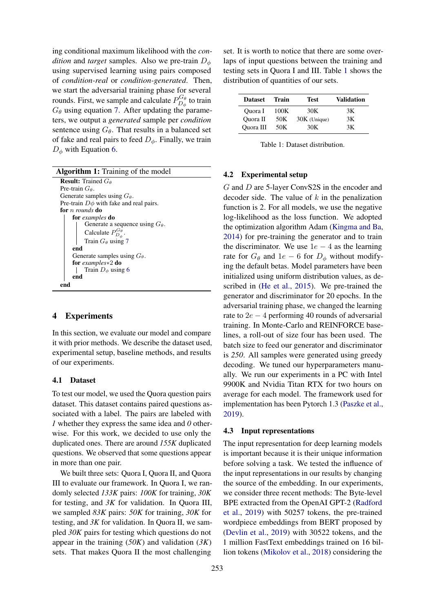ing conditional maximum likelihood with the *condition* and *target* samples. Also we pre-train  $D_{\phi}$ using supervised learning using pairs composed of *condition-real* or *condition-generated*. Then, we start the adversarial training phase for several rounds. First, we sample and calculate  $P_{D_4}^{G_{\theta}}$  $D_{\phi}^{\mathbf{G}_{\theta}}$  to train  $G_{\theta}$  using equation [7.](#page-3-1) After updating the parameters, we output a *generated* sample per *condition* sentence using  $G_{\theta}$ . That results in a balanced set of fake and real pairs to feed  $D_{\phi}$ . Finally, we train  $D_{\phi}$  with Equation [6.](#page-3-2)

Algorithm 1: Training of the model

<span id="page-4-0"></span>

| <b>Result:</b> Trained $G_{\theta}$         |
|---------------------------------------------|
| Pre-train $G_{\theta}$ .                    |
| Generate samples using $G_{\theta}$ .       |
| Pre-train $D\phi$ with fake and real pairs. |
| for <i>n rounds</i> do                      |
| for examples do                             |
| Generate a sequence using $G_{\theta}$ .    |
| Calculate $P_{D_{\phi}}^{G_{\theta}}$ .     |
| Train $G_{\theta}$ using 7                  |
| end                                         |
| Generate samples using $G_{\theta}$ .       |
| for examples $*2$ do                        |
| Train $D_{\phi}$ using 6                    |
| end                                         |
|                                             |

# 4 Experiments

In this section, we evaluate our model and compare it with prior methods. We describe the dataset used, experimental setup, baseline methods, and results of our experiments.

#### 4.1 Dataset

To test our model, we used the Quora question pairs dataset. This dataset contains paired questions associated with a label. The pairs are labeled with *1* whether they express the same idea and *0* otherwise. For this work, we decided to use only the duplicated ones. There are around *155K* duplicated questions. We observed that some questions appear in more than one pair.

We built three sets: Quora I, Quora II, and Quora III to evaluate our framework. In Quora I, we randomly selected *133K* pairs: *100K* for training, *30K* for testing, and *3K* for validation. In Quora III, we sampled *83K* pairs: *50K* for training, *30K* for testing, and *3K* for validation. In Quora II, we sampled *30K* pairs for testing which questions do not appear in the training (*50K*) and validation (*3K*) sets. That makes Quora II the most challenging

set. It is worth to notice that there are some overlaps of input questions between the training and testing sets in Quora I and III. Table [1](#page-4-1) shows the distribution of quantities of our sets.

<span id="page-4-1"></span>

| <b>Dataset</b> | Train | <b>Test</b>    | Validation |
|----------------|-------|----------------|------------|
| Ouora I        | 100K  | 30K            | 3Κ         |
| Quora II       | 50K   | $30K$ (Unique) | 3K         |
| Quora III      | 50K   | 30K            | 3K         |

Table 1: Dataset distribution.

### 4.2 Experimental setup

G and D are 5-layer ConvS2S in the encoder and decoder side. The value of  $k$  in the penalization function is 2. For all models, we use the negative log-likelihood as the loss function. We adopted the optimization algorithm Adam [\(Kingma and Ba,](#page-9-14) [2014\)](#page-9-14) for pre-training the generator and to train the discriminator. We use  $1e - 4$  as the learning rate for  $G_{\theta}$  and  $1e - 6$  for  $D_{\phi}$  without modifying the default betas. Model parameters have been initialized using uniform distribution values, as described in [\(He et al.,](#page-8-16) [2015\)](#page-8-16). We pre-trained the generator and discriminator for 20 epochs. In the adversarial training phase, we changed the learning rate to  $2e - 4$  performing 40 rounds of adversarial training. In Monte-Carlo and REINFORCE baselines, a roll-out of size four has been used. The batch size to feed our generator and discriminator is *250*. All samples were generated using greedy decoding. We tuned our hyperparameters manually. We run our experiments in a PC with Intel 9900K and Nvidia Titan RTX for two hours on average for each model. The framework used for implementation has been Pytorch 1.3 [\(Paszke et al.,](#page-9-15) [2019\)](#page-9-15).

#### 4.3 Input representations

The input representation for deep learning models is important because it is their unique information before solving a task. We tested the influence of the input representations in our results by changing the source of the embedding. In our experiments, we consider three recent methods: The Byte-level BPE extracted from the OpenAI GPT-2 [\(Radford](#page-10-10) [et al.,](#page-10-10) [2019\)](#page-10-10) with 50257 tokens, the pre-trained wordpiece embeddings from BERT proposed by [\(Devlin et al.,](#page-8-11) [2019\)](#page-8-11) with 30522 tokens, and the 1 million FastText embeddings trained on 16 billion tokens [\(Mikolov et al.,](#page-9-13) [2018\)](#page-9-13) considering the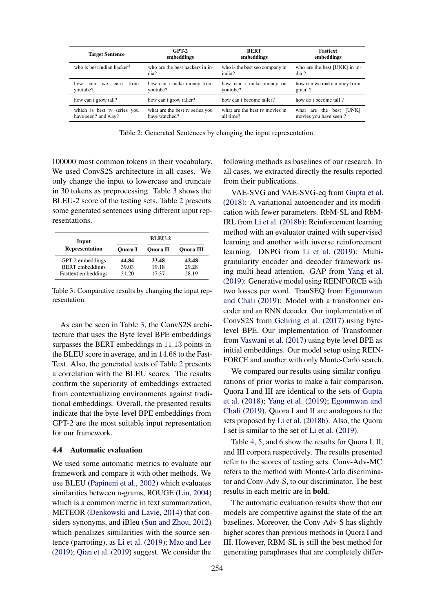<span id="page-5-1"></span>

| $GPT-2$<br><b>Target Sentence</b><br>embeddings    |                                                  | <b>BERT</b><br>embeddings                   | <b>Fasttext</b><br>embeddings                    |
|----------------------------------------------------|--------------------------------------------------|---------------------------------------------|--------------------------------------------------|
| who is best indian hacker?                         | who are the best hackers in in-<br>dia?          | who is the best seo company in<br>india?    | who are the best [UNK] in in-<br>dia ?           |
| from<br>how<br>can<br>earn<br>we<br>youtube?       | how can i make money from<br>youtube?            | how can i make money on<br>youtube?         | how can we make money from<br>gmail?             |
| how can i grow tall?                               | how can i grow taller?                           | how can i become taller?                    | how do i become tall?                            |
| which is best tv series you<br>have seen? and way? | what are the best tv series you<br>have watched? | what are the best ty movies in<br>all time? | what are the best [UNK]<br>movies you have seen? |

Table 2: Generated Sentences by changing the input representation.

100000 most common tokens in their vocabulary. We used ConvS2S architecture in all cases. We only change the input to lowercase and truncate in 30 tokens as preprocessing. Table [3](#page-5-0) shows the BLEU-2 score of the testing sets. Table [2](#page-5-1) presents some generated sentences using different input representations.

<span id="page-5-0"></span>

| Input                  |                | <b>BLEU-2</b>   |                  |
|------------------------|----------------|-----------------|------------------|
| <b>Representation</b>  | <b>Ouora</b> I | <b>Ouora</b> II | <b>Ouora</b> III |
| GPT-2 embeddings       | 44.84          | 33.48           | 42.48            |
| <b>BERT</b> embeddings | 39.03          | 19.18           | 29.28            |
| Fasttext embeddings    | 31.20          | 17.37           | 28.19            |

Table 3: Comparative results by changing the input representation.

As can be seen in Table [3,](#page-5-0) the ConvS2S architecture that uses the Byte level BPE embeddings surpasses the BERT embeddings in 11.13 points in the BLEU score in average, and in 14.68 to the Fast-Text. Also, the generated texts of Table [2](#page-5-1) presents a correlation with the BLEU scores. The results confirm the superiority of embeddings extracted from contextualizing environments against traditional embeddings. Overall, the presented results indicate that the byte-level BPE embeddings from GPT-2 are the most suitable input representation for our framework.

### 4.4 Automatic evaluation

We used some automatic metrics to evaluate our framework and compare it with other methods. We use BLEU [\(Papineni et al.,](#page-9-16) [2002\)](#page-9-16) which evaluates similarities between n-grams, ROUGE [\(Lin,](#page-9-17) [2004\)](#page-9-17) which is a common metric in text summarization, METEOR [\(Denkowski and Lavie,](#page-8-17) [2014\)](#page-8-17) that considers synonyms, and iBleu [\(Sun and Zhou,](#page-10-13) [2012\)](#page-10-13) which penalizes similarities with the source sentence (parroting), as [Li et al.](#page-9-5) [\(2019\)](#page-9-5); [Mao and Lee](#page-9-18) [\(2019\)](#page-9-18); [Qian et al.](#page-10-14) [\(2019\)](#page-10-14) suggest. We consider the following methods as baselines of our research. In all cases, we extracted directly the results reported from their publications.

VAE-SVG and VAE-SVG-eq from [Gupta et al.](#page-8-4) [\(2018\)](#page-8-4): A variational autoencoder and its modification with fewer parameters. RbM-SL and RbM-IRL from [Li et al.](#page-9-3) [\(2018b\)](#page-9-3): Reinforcement learning method with an evaluator trained with supervised learning and another with inverse reinforcement learning. DNPG from [Li et al.](#page-9-5) [\(2019\)](#page-9-5): Multigranularity encoder and decoder framework using multi-head attention. GAP from [Yang et al.](#page-10-4) [\(2019\)](#page-10-4): Generative model using REINFORCE with two losses per word. TranSEQ from [Egonmwan](#page-8-7) [and Chali](#page-8-7) [\(2019\)](#page-8-7): Model with a transformer encoder and an RNN decoder. Our implementation of ConvS2S from [Gehring et al.](#page-8-15) [\(2017\)](#page-8-15) using bytelevel BPE. Our implementation of Transformer from [Vaswani et al.](#page-10-6) [\(2017\)](#page-10-6) using byte-level BPE as initial embeddings. Our model setup using REIN-FORCE and another with only Monte-Carlo search.

We compared our results using similar configurations of prior works to make a fair comparison. Quora I and III are identical to the sets of [Gupta](#page-8-4) [et al.](#page-8-4) [\(2018\)](#page-8-4); [Yang et al.](#page-10-4) [\(2019\)](#page-10-4); [Egonmwan and](#page-8-7) [Chali](#page-8-7) [\(2019\)](#page-8-7). Quora I and II are analogous to the sets proposed by [Li et al.](#page-9-3) [\(2018b\)](#page-9-3). Also, the Quora I set is similar to the set of [Li et al.](#page-9-5) [\(2019\)](#page-9-5).

Table [4,](#page-6-0) [5,](#page-6-0) and [6](#page-6-0) show the results for Quora I, II, and III corpora respectively. The results presented refer to the scores of testing sets. Conv-Adv-MC refers to the method with Monte-Carlo discriminator and Conv-Adv-S, to our discriminator. The best results in each metric are in bold.

The automatic evaluation results show that our models are competitive against the state of the art baselines. Moreover, the Conv-Adv-S has slightly higher scores than previous methods in Quora I and III. However, RBM-SL is still the best method for generating paraphrases that are completely differ-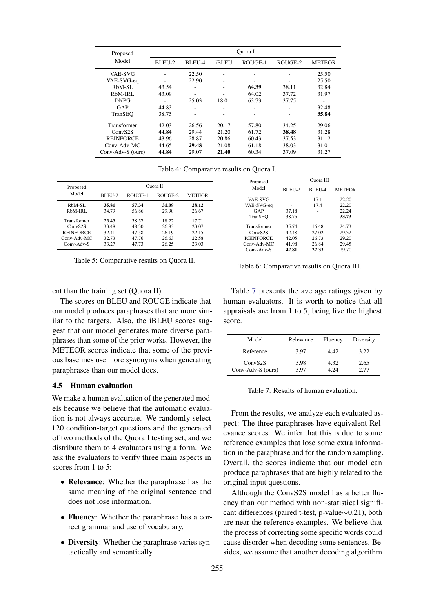<span id="page-6-0"></span>

| Proposed            |        |        |       | Ouora I |         |               |
|---------------------|--------|--------|-------|---------|---------|---------------|
| Model               | BLEU-2 | BLEU-4 | iBLEU | ROUGE-1 | ROUGE-2 | <b>METEOR</b> |
| <b>VAE-SVG</b>      |        | 22.50  | ٠     | ٠       |         | 25.50         |
| VAE-SVG-eq          |        | 22.90  | ۰     | ٠       |         | 25.50         |
| RbM-SL              | 43.54  | ۰      | ۰     | 64.39   | 38.11   | 32.84         |
| RbM-IRL             | 43.09  | ۰      |       | 64.02   | 37.72   | 31.97         |
| <b>DNPG</b>         |        | 25.03  | 18.01 | 63.73   | 37.75   | ۰             |
| GAP                 | 44.83  | ۰      |       | ۰       |         | 32.48         |
| TranSEO             | 38.75  | ٠      |       | ۰       |         | 35.84         |
| Transformer         | 42.03  | 26.56  | 20.17 | 57.80   | 34.25   | 29.06         |
| ConvS <sub>2S</sub> | 44.84  | 29.44  | 21.20 | 61.72   | 38.48   | 31.28         |
| <b>REINFORCE</b>    | 43.96  | 28.87  | 20.86 | 60.43   | 37.53   | 31.12         |
| Conv-Adv-MC         | 44.65  | 29.48  | 21.08 | 61.18   | 38.03   | 31.01         |
| Conv-Adv-S (ours)   | 44.84  | 29.07  | 21.40 | 60.34   | 37.09   | 31.27         |

Table 4: Comparative results on Quora I.

| Proposed            | Ouora II |         |         |               |
|---------------------|----------|---------|---------|---------------|
| Model               | BLEU-2   | ROUGE-1 | ROUGE-2 | <b>METEOR</b> |
| RbM-SL              | 35.81    | 57.34   | 31.09   | 28.12         |
| RbM-IRL             | 34.79    | 56.86   | 29.90   | 26.67         |
| Transformer         | 25.45    | 38.57   | 18.22   | 17.71         |
| Conv <sub>S2S</sub> | 33.48    | 48.30   | 26.83   | 23.07         |
| <b>REINFORCE</b>    | 32.41    | 47.58   | 26.19   | 22.15         |
| $Conv-Adv-MC$       | 32.73    | 47.76   | 26.63   | 22.58         |
| Conv-Adv-S          | 33.27    | 47.73   | 26.25   | 23.03         |

Table 5: Comparative results on Quora II.

| Proposed            | Ouora III |        |               |  |
|---------------------|-----------|--------|---------------|--|
| Model               | BLEU-2    | BLEU-4 | <b>METEOR</b> |  |
| <b>VAE-SVG</b>      |           | 17.1   | 22.20         |  |
| VAE-SVG-eq          |           | 17.4   | 22.20         |  |
| GAP                 | 37.18     |        | 22.24         |  |
| TranSEO             | 38.75     |        | 33.73         |  |
| Transformer         | 35.74     | 16.48  | 24.73         |  |
| Conv <sub>S2S</sub> | 42.48     | 27.02  | 29.52         |  |
| <b>REINFORCE</b>    | 42.05     | 26.73  | 29.20         |  |
| Conv-Adv-MC         | 41.98     | 26.84  | 29.45         |  |
| $Conv-Adv-S$        | 42.81     | 27.33  | 29.70         |  |

Table 6: Comparative results on Quora III.

ent than the training set (Quora II).

The scores on BLEU and ROUGE indicate that our model produces paraphrases that are more similar to the targets. Also, the iBLEU scores suggest that our model generates more diverse paraphrases than some of the prior works. However, the METEOR scores indicate that some of the previous baselines use more synonyms when generating paraphrases than our model does.

# 4.5 Human evaluation

We make a human evaluation of the generated models because we believe that the automatic evaluation is not always accurate. We randomly select 120 condition-target questions and the generated of two methods of the Quora I testing set, and we distribute them to 4 evaluators using a form. We ask the evaluators to verify three main aspects in scores from 1 to 5:

- Relevance: Whether the paraphrase has the same meaning of the original sentence and does not lose information.
- Fluency: Whether the paraphrase has a correct grammar and use of vocabulary.
- Diversity: Whether the paraphrase varies syntactically and semantically.

Table [7](#page-6-1) presents the average ratings given by human evaluators. It is worth to notice that all appraisals are from 1 to 5, being five the highest score.

<span id="page-6-1"></span>

| Model                                    | Relevance    | Fluency      | Diversity    |
|------------------------------------------|--------------|--------------|--------------|
| Reference                                | 3.97         | 4.42         | 3.22         |
| Conv <sub>S2S</sub><br>Conv-Adv-S (ours) | 3.98<br>3.97 | 4.32<br>4.24 | 2.65<br>2.77 |

Table 7: Results of human evaluation.

From the results, we analyze each evaluated aspect: The three paraphrases have equivalent Relevance scores. We infer that this is due to some reference examples that lose some extra information in the paraphrase and for the random sampling. Overall, the scores indicate that our model can produce paraphrases that are highly related to the original input questions.

Although the ConvS2S model has a better fluency than our method with non-statistical significant differences (paired t-test, p-value∼0.21), both are near the reference examples. We believe that the process of correcting some specific words could cause disorder when decoding some sentences. Besides, we assume that another decoding algorithm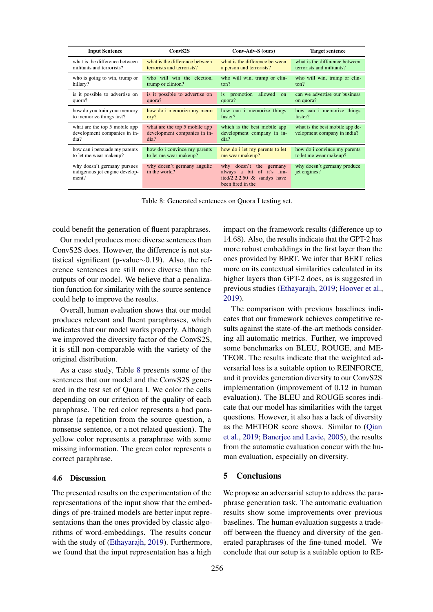<span id="page-7-0"></span>

| <b>Input Sentence</b>                                                  | ConvS <sub>2S</sub>                                                   | Conv-Adv-S (ours)                                                                                                   | <b>Target sentence</b>                                         |
|------------------------------------------------------------------------|-----------------------------------------------------------------------|---------------------------------------------------------------------------------------------------------------------|----------------------------------------------------------------|
| what is the difference between                                         | what is the difference between                                        | what is the difference between                                                                                      | what is the difference between                                 |
| militants and terrorists?                                              | terrorists and terrorists?                                            | a person and terrorists?                                                                                            | terrorists and militants?                                      |
| who is going to win, trump or                                          | who will win the election,                                            | who will win, trump or clin-                                                                                        | who will win, trump or clin-                                   |
| hillary?                                                               | trump or clinton?                                                     | ton?                                                                                                                | ton?                                                           |
| is it possible to advertise on<br>quora?                               | is it possible to advertise on<br>quora?                              | promotion<br>allowed<br>is.<br>$\Omega$<br>quora?                                                                   | can we advertise our business<br>on quora?                     |
| how do you train your memory                                           | how do i memorize my mem-                                             | how can i memorize things                                                                                           | how can i memorize things                                      |
| to memorize things fast?                                               | ory?                                                                  | faster?                                                                                                             | faster?                                                        |
| what are the top 5 mobile app<br>development companies in in-<br>dia?  | what are the top 5 mobile app<br>development companies in in-<br>dia? | which is the best mobile app<br>development company in in-<br>dia?                                                  | what is the best mobile app de-<br>velopment company in india? |
| how can i persuade my parents                                          | how do i convince my parents                                          | how do i let my parents to let                                                                                      | how do i convince my parents                                   |
| to let me wear makeup?                                                 | to let me wear makeup?                                                | me wear makeup?                                                                                                     | to let me wear makeup?                                         |
| why doesn't germany pursues<br>indigenous jet engine develop-<br>ment? | why doesn't germany angulic<br>in the world?                          | the<br>doesn't<br>why<br>germany<br>always a bit of it's lim-<br>ited/2.2.2.50 $&$ sandys have<br>been fired in the | why doesn't germany produce<br>jet engines?                    |

Table 8: Generated sentences on Quora I testing set.

could benefit the generation of fluent paraphrases.

Our model produces more diverse sentences than ConvS2S does. However, the difference is not statistical significant (p-value∼0.19). Also, the reference sentences are still more diverse than the outputs of our model. We believe that a penalization function for similarity with the source sentence could help to improve the results.

Overall, human evaluation shows that our model produces relevant and fluent paraphrases, which indicates that our model works properly. Although we improved the diversity factor of the ConvS2S, it is still non-comparable with the variety of the original distribution.

As a case study, Table [8](#page-7-0) presents some of the sentences that our model and the ConvS2S generated in the test set of Quora I. We color the cells depending on our criterion of the quality of each paraphrase. The red color represents a bad paraphrase (a repetition from the source question, a nonsense sentence, or a not related question). The yellow color represents a paraphrase with some missing information. The green color represents a correct paraphrase.

### 4.6 Discussion

The presented results on the experimentation of the representations of the input show that the embeddings of pre-trained models are better input representations than the ones provided by classic algorithms of word-embeddings. The results concur with the study of [\(Ethayarajh,](#page-8-12) [2019\)](#page-8-12). Furthermore, we found that the input representation has a high

impact on the framework results (difference up to 14.68). Also, the results indicate that the GPT-2 has more robust embeddings in the first layer than the ones provided by BERT. We infer that BERT relies more on its contextual similarities calculated in its higher layers than GPT-2 does, as is suggested in previous studies [\(Ethayarajh,](#page-8-12) [2019;](#page-8-12) [Hoover et al.,](#page-8-18) [2019\)](#page-8-18).

The comparison with previous baselines indicates that our framework achieves competitive results against the state-of-the-art methods considering all automatic metrics. Further, we improved some benchmarks on BLEU, ROUGE, and ME-TEOR. The results indicate that the weighted adversarial loss is a suitable option to REINFORCE, and it provides generation diversity to our ConvS2S implementation (improvement of 0.12 in human evaluation). The BLEU and ROUGE scores indicate that our model has similarities with the target questions. However, it also has a lack of diversity as the METEOR score shows. Similar to [\(Qian](#page-10-14) [et al.,](#page-10-14) [2019;](#page-10-14) [Banerjee and Lavie,](#page-8-19) [2005\)](#page-8-19), the results from the automatic evaluation concur with the human evaluation, especially on diversity.

# 5 Conclusions

We propose an adversarial setup to address the paraphrase generation task. The automatic evaluation results show some improvements over previous baselines. The human evaluation suggests a tradeoff between the fluency and diversity of the generated paraphrases of the fine-tuned model. We conclude that our setup is a suitable option to RE-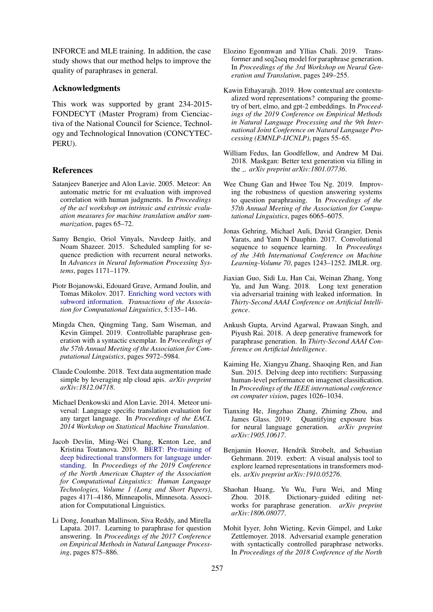INFORCE and MLE training. In addition, the case study shows that our method helps to improve the quality of paraphrases in general.

### Acknowledgments

This work was supported by grant 234-2015- FONDECYT (Master Program) from Cienciactiva of the National Council for Science, Technology and Technological Innovation (CONCYTEC-PERU).

## References

- <span id="page-8-19"></span>Satanjeev Banerjee and Alon Lavie. 2005. Meteor: An automatic metric for mt evaluation with improved correlation with human judgments. In *Proceedings of the acl workshop on intrinsic and extrinsic evaluation measures for machine translation and/or summarization*, pages 65–72.
- <span id="page-8-8"></span>Samy Bengio, Oriol Vinyals, Navdeep Jaitly, and Noam Shazeer. 2015. Scheduled sampling for sequence prediction with recurrent neural networks. In *Advances in Neural Information Processing Systems*, pages 1171–1179.
- <span id="page-8-13"></span>Piotr Bojanowski, Edouard Grave, Armand Joulin, and Tomas Mikolov. 2017. [Enriching word vectors with](https://doi.org/10.1162/tacl_a_00051) [subword information.](https://doi.org/10.1162/tacl_a_00051) *Transactions of the Association for Computational Linguistics*, 5:135–146.
- <span id="page-8-6"></span>Mingda Chen, Qingming Tang, Sam Wiseman, and Kevin Gimpel. 2019. Controllable paraphrase generation with a syntactic exemplar. In *Proceedings of the 57th Annual Meeting of the Association for Computational Linguistics*, pages 5972–5984.
- <span id="page-8-2"></span>Claude Coulombe. 2018. Text data augmentation made simple by leveraging nlp cloud apis. *arXiv preprint arXiv:1812.04718*.
- <span id="page-8-17"></span>Michael Denkowski and Alon Lavie. 2014. Meteor universal: Language specific translation evaluation for any target language. In *Proceedings of the EACL 2014 Workshop on Statistical Machine Translation*.
- <span id="page-8-11"></span>Jacob Devlin, Ming-Wei Chang, Kenton Lee, and Kristina Toutanova. 2019. [BERT: Pre-training of](https://doi.org/10.18653/v1/N19-1423) [deep bidirectional transformers for language under](https://doi.org/10.18653/v1/N19-1423)[standing.](https://doi.org/10.18653/v1/N19-1423) In *Proceedings of the 2019 Conference of the North American Chapter of the Association for Computational Linguistics: Human Language Technologies, Volume 1 (Long and Short Papers)*, pages 4171–4186, Minneapolis, Minnesota. Association for Computational Linguistics.
- <span id="page-8-0"></span>Li Dong, Jonathan Mallinson, Siva Reddy, and Mirella Lapata. 2017. Learning to paraphrase for question answering. In *Proceedings of the 2017 Conference on Empirical Methods in Natural Language Processing*, pages 875–886.
- <span id="page-8-7"></span>Elozino Egonmwan and Yllias Chali. 2019. Transformer and seq2seq model for paraphrase generation. In *Proceedings of the 3rd Workshop on Neural Generation and Translation*, pages 249–255.
- <span id="page-8-12"></span>Kawin Ethayarajh. 2019. How contextual are contextualized word representations? comparing the geometry of bert, elmo, and gpt-2 embeddings. In *Proceedings of the 2019 Conference on Empirical Methods in Natural Language Processing and the 9th International Joint Conference on Natural Language Processing (EMNLP-IJCNLP)*, pages 55–65.
- <span id="page-8-9"></span>William Fedus, Ian Goodfellow, and Andrew M Dai. 2018. Maskgan: Better text generation via filling in the . *arXiv preprint arXiv:1801.07736*.
- <span id="page-8-1"></span>Wee Chung Gan and Hwee Tou Ng. 2019. Improving the robustness of question answering systems to question paraphrasing. In *Proceedings of the 57th Annual Meeting of the Association for Computational Linguistics*, pages 6065–6075.
- <span id="page-8-15"></span>Jonas Gehring, Michael Auli, David Grangier, Denis Yarats, and Yann N Dauphin. 2017. Convolutional sequence to sequence learning. In *Proceedings of the 34th International Conference on Machine Learning-Volume 70*, pages 1243–1252. JMLR. org.
- <span id="page-8-14"></span>Jiaxian Guo, Sidi Lu, Han Cai, Weinan Zhang, Yong Yu, and Jun Wang. 2018. Long text generation via adversarial training with leaked information. In *Thirty-Second AAAI Conference on Artificial Intelligence*.
- <span id="page-8-4"></span>Ankush Gupta, Arvind Agarwal, Prawaan Singh, and Piyush Rai. 2018. A deep generative framework for paraphrase generation. In *Thirty-Second AAAI Conference on Artificial Intelligence*.
- <span id="page-8-16"></span>Kaiming He, Xiangyu Zhang, Shaoqing Ren, and Jian Sun. 2015. Delving deep into rectifiers: Surpassing human-level performance on imagenet classification. In *Proceedings of the IEEE international conference on computer vision*, pages 1026–1034.
- <span id="page-8-10"></span>Tianxing He, Jingzhao Zhang, Zhiming Zhou, and James Glass. 2019. Quantifying exposure bias for neural language generation. *arXiv preprint arXiv:1905.10617*.
- <span id="page-8-18"></span>Benjamin Hoover, Hendrik Strobelt, and Sebastian Gehrmann. 2019. exbert: A visual analysis tool to explore learned representations in transformers models. *arXiv preprint arXiv:1910.05276*.
- <span id="page-8-5"></span>Shaohan Huang, Yu Wu, Furu Wei, and Ming Zhou. 2018. Dictionary-guided editing networks for paraphrase generation. *arXiv preprint arXiv:1806.08077*.
- <span id="page-8-3"></span>Mohit Iyyer, John Wieting, Kevin Gimpel, and Luke Zettlemoyer. 2018. Adversarial example generation with syntactically controlled paraphrase networks. In *Proceedings of the 2018 Conference of the North*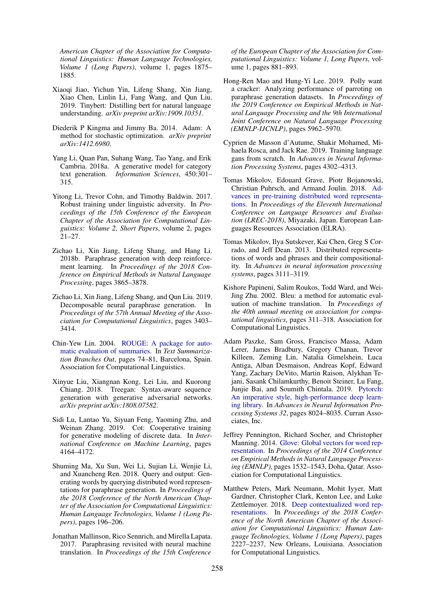*American Chapter of the Association for Computational Linguistics: Human Language Technologies, Volume 1 (Long Papers)*, volume 1, pages 1875– 1885.

- <span id="page-9-0"></span>Xiaoqi Jiao, Yichun Yin, Lifeng Shang, Xin Jiang, Xiao Chen, Linlin Li, Fang Wang, and Qun Liu. 2019. Tinybert: Distilling bert for natural language understanding. *arXiv preprint arXiv:1909.10351*.
- <span id="page-9-14"></span>Diederik P Kingma and Jimmy Ba. 2014. Adam: A method for stochastic optimization. *arXiv preprint arXiv:1412.6980*.
- <span id="page-9-6"></span>Yang Li, Quan Pan, Suhang Wang, Tao Yang, and Erik Cambria. 2018a. A generative model for category text generation. *Information Sciences*, 450:301– 315.
- <span id="page-9-2"></span>Yitong Li, Trevor Cohn, and Timothy Baldwin. 2017. Robust training under linguistic adversity. In *Proceedings of the 15th Conference of the European Chapter of the Association for Computational Linguistics: Volume 2, Short Papers*, volume 2, pages 21–27.
- <span id="page-9-3"></span>Zichao Li, Xin Jiang, Lifeng Shang, and Hang Li. 2018b. Paraphrase generation with deep reinforcement learning. In *Proceedings of the 2018 Conference on Empirical Methods in Natural Language Processing*, pages 3865–3878.
- <span id="page-9-5"></span>Zichao Li, Xin Jiang, Lifeng Shang, and Qun Liu. 2019. Decomposable neural paraphrase generation. In *Proceedings of the 57th Annual Meeting of the Association for Computational Linguistics*, pages 3403– 3414.
- <span id="page-9-17"></span>Chin-Yew Lin. 2004. [ROUGE: A package for auto](https://www.aclweb.org/anthology/W04-1013)[matic evaluation of summaries.](https://www.aclweb.org/anthology/W04-1013) In *Text Summarization Branches Out*, pages 74–81, Barcelona, Spain. Association for Computational Linguistics.
- <span id="page-9-7"></span>Xinyue Liu, Xiangnan Kong, Lei Liu, and Kuorong Chiang. 2018. Treegan: Syntax-aware sequence generation with generative adversarial networks. *arXiv preprint arXiv:1808.07582*.
- <span id="page-9-9"></span>Sidi Lu, Lantao Yu, Siyuan Feng, Yaoming Zhu, and Weinan Zhang. 2019. Cot: Cooperative training for generative modeling of discrete data. In *International Conference on Machine Learning*, pages 4164–4172.
- <span id="page-9-4"></span>Shuming Ma, Xu Sun, Wei Li, Sujian Li, Wenjie Li, and Xuancheng Ren. 2018. Query and output: Generating words by querying distributed word representations for paraphrase generation. In *Proceedings of the 2018 Conference of the North American Chapter of the Association for Computational Linguistics: Human Language Technologies, Volume 1 (Long Papers)*, pages 196–206.
- <span id="page-9-1"></span>Jonathan Mallinson, Rico Sennrich, and Mirella Lapata. 2017. Paraphrasing revisited with neural machine translation. In *Proceedings of the 15th Conference*

*of the European Chapter of the Association for Computational Linguistics: Volume 1, Long Papers*, volume 1, pages 881–893.

- <span id="page-9-18"></span>Hong-Ren Mao and Hung-Yi Lee. 2019. Polly want a cracker: Analyzing performance of parroting on paraphrase generation datasets. In *Proceedings of the 2019 Conference on Empirical Methods in Natural Language Processing and the 9th International Joint Conference on Natural Language Processing (EMNLP-IJCNLP)*, pages 5962–5970.
- <span id="page-9-8"></span>Cyprien de Masson d'Autume, Shakir Mohamed, Mihaela Rosca, and Jack Rae. 2019. Training language gans from scratch. In *Advances in Neural Information Processing Systems*, pages 4302–4313.
- <span id="page-9-13"></span>Tomas Mikolov, Edouard Grave, Piotr Bojanowski, Christian Puhrsch, and Armand Joulin. 2018. [Ad](https://www.aclweb.org/anthology/L18-1008)[vances in pre-training distributed word representa](https://www.aclweb.org/anthology/L18-1008)[tions.](https://www.aclweb.org/anthology/L18-1008) In *Proceedings of the Eleventh International Conference on Language Resources and Evaluation (LREC-2018)*, Miyazaki, Japan. European Languages Resources Association (ELRA).
- <span id="page-9-12"></span>Tomas Mikolov, Ilya Sutskever, Kai Chen, Greg S Corrado, and Jeff Dean. 2013. Distributed representations of words and phrases and their compositionality. In *Advances in neural information processing systems*, pages 3111–3119.
- <span id="page-9-16"></span>Kishore Papineni, Salim Roukos, Todd Ward, and Wei-Jing Zhu. 2002. Bleu: a method for automatic evaluation of machine translation. In *Proceedings of the 40th annual meeting on association for computational linguistics*, pages 311–318. Association for Computational Linguistics.
- <span id="page-9-15"></span>Adam Paszke, Sam Gross, Francisco Massa, Adam Lerer, James Bradbury, Gregory Chanan, Trevor Killeen, Zeming Lin, Natalia Gimelshein, Luca Antiga, Alban Desmaison, Andreas Kopf, Edward Yang, Zachary DeVito, Martin Raison, Alykhan Tejani, Sasank Chilamkurthy, Benoit Steiner, Lu Fang, Junjie Bai, and Soumith Chintala. 2019. [Pytorch:](http://papers.neurips.cc/paper/9015-pytorch-an-imperative-style-high-performance-deep-learning-library.pdf) [An imperative style, high-performance deep learn](http://papers.neurips.cc/paper/9015-pytorch-an-imperative-style-high-performance-deep-learning-library.pdf)[ing library.](http://papers.neurips.cc/paper/9015-pytorch-an-imperative-style-high-performance-deep-learning-library.pdf) In *Advances in Neural Information Processing Systems 32*, pages 8024–8035. Curran Associates, Inc.
- <span id="page-9-11"></span>Jeffrey Pennington, Richard Socher, and Christopher Manning. 2014. [Glove: Global vectors for word rep](https://doi.org/10.3115/v1/D14-1162)[resentation.](https://doi.org/10.3115/v1/D14-1162) In *Proceedings of the 2014 Conference on Empirical Methods in Natural Language Processing (EMNLP)*, pages 1532–1543, Doha, Qatar. Association for Computational Linguistics.
- <span id="page-9-10"></span>Matthew Peters, Mark Neumann, Mohit Iyyer, Matt Gardner, Christopher Clark, Kenton Lee, and Luke Zettlemoyer. 2018. [Deep contextualized word rep](https://doi.org/10.18653/v1/N18-1202)[resentations.](https://doi.org/10.18653/v1/N18-1202) In *Proceedings of the 2018 Conference of the North American Chapter of the Association for Computational Linguistics: Human Language Technologies, Volume 1 (Long Papers)*, pages 2227–2237, New Orleans, Louisiana. Association for Computational Linguistics.